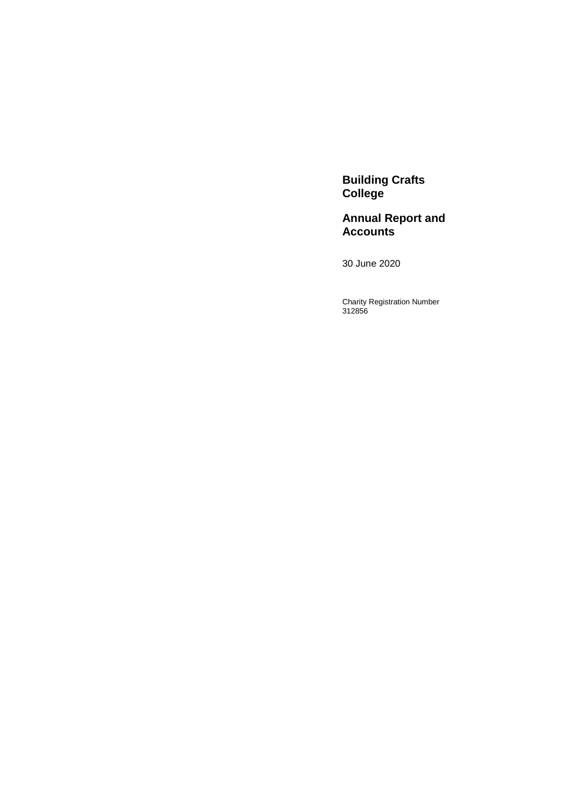**Building Crafts College** 

**Annual Report and Accounts**

30 June 2020

Charity Registration Number 312856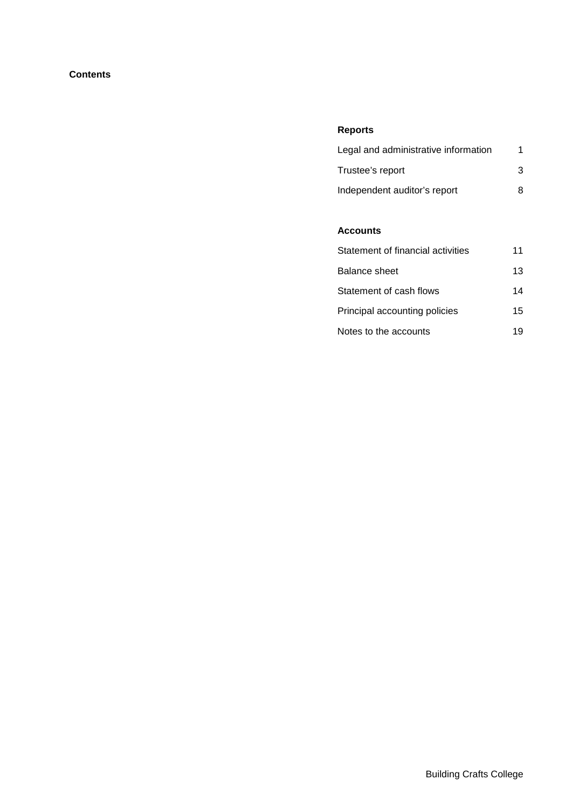# **Contents**

# **Reports**

| Legal and administrative information |   |
|--------------------------------------|---|
| Trustee's report                     | 3 |
| Independent auditor's report         | 8 |

# **Accounts**

| Statement of financial activities | 11 |
|-----------------------------------|----|
| Balance sheet                     | 13 |
| Statement of cash flows           | 14 |
| Principal accounting policies     | 15 |
| Notes to the accounts             | 19 |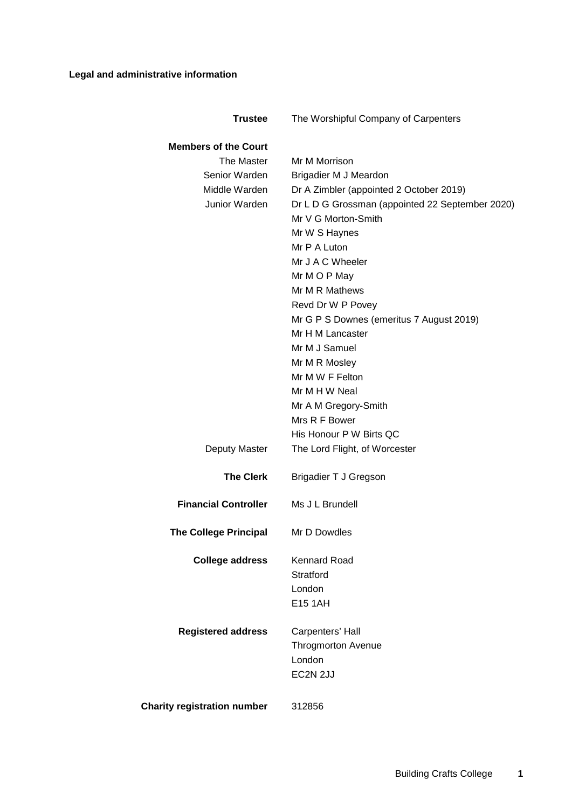<span id="page-2-0"></span>

| <b>Trustee</b>                     | The Worshipful Company of Carpenters                         |
|------------------------------------|--------------------------------------------------------------|
| <b>Members of the Court</b>        |                                                              |
| The Master                         | Mr M Morrison                                                |
| Senior Warden                      | Brigadier M J Meardon                                        |
| Middle Warden                      | Dr A Zimbler (appointed 2 October 2019)                      |
| Junior Warden                      | Dr L D G Grossman (appointed 22 September 2020)              |
|                                    | Mr V G Morton-Smith                                          |
|                                    | Mr W S Haynes                                                |
|                                    | Mr P A Luton                                                 |
|                                    | Mr J A C Wheeler                                             |
|                                    |                                                              |
|                                    | Mr M O P May<br>Mr M R Mathews                               |
|                                    |                                                              |
|                                    | Revd Dr W P Povey                                            |
|                                    | Mr G P S Downes (emeritus 7 August 2019)<br>Mr H M Lancaster |
|                                    |                                                              |
|                                    | Mr M J Samuel                                                |
|                                    | Mr M R Mosley                                                |
|                                    | Mr M W F Felton                                              |
|                                    | Mr M H W Neal                                                |
|                                    | Mr A M Gregory-Smith                                         |
|                                    | Mrs R F Bower                                                |
|                                    | His Honour P W Birts QC                                      |
| Deputy Master                      | The Lord Flight, of Worcester                                |
| <b>The Clerk</b>                   | <b>Brigadier T J Gregson</b>                                 |
| <b>Financial Controller</b>        | Ms J L Brundell                                              |
| <b>The College Principal</b>       | Mr D Dowdles                                                 |
| <b>College address</b>             | <b>Kennard Road</b>                                          |
|                                    | Stratford                                                    |
|                                    | London                                                       |
|                                    | <b>E15 1AH</b>                                               |
| <b>Registered address</b>          | Carpenters' Hall                                             |
|                                    | <b>Throgmorton Avenue</b>                                    |
|                                    | London                                                       |
|                                    | EC2N 2JJ                                                     |
|                                    |                                                              |
| <b>Charity registration number</b> | 312856                                                       |
|                                    |                                                              |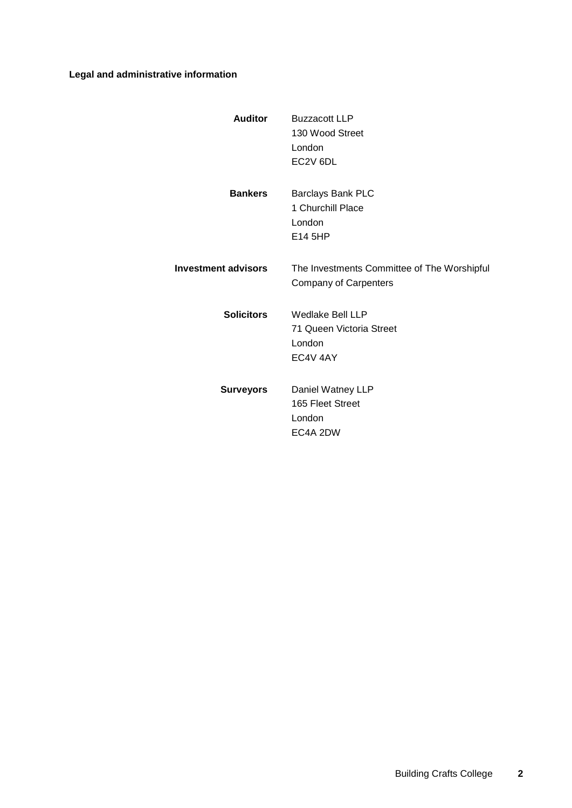# **Legal and administrative information**

| <b>Auditor</b>             | <b>Buzzacott LLP</b><br>130 Wood Street<br>London<br>EC2V 6DL               |
|----------------------------|-----------------------------------------------------------------------------|
| <b>Bankers</b>             | <b>Barclays Bank PLC</b><br>1 Churchill Place<br>London<br>E14 5HP          |
| <b>Investment advisors</b> | The Investments Committee of The Worshipful<br><b>Company of Carpenters</b> |
| <b>Solicitors</b>          | Wedlake Bell LLP<br>71 Queen Victoria Street<br>London<br>EC4V 4AY          |
| <b>Surveyors</b>           | Daniel Watney LLP<br>165 Fleet Street<br>London<br>EC4A 2DW                 |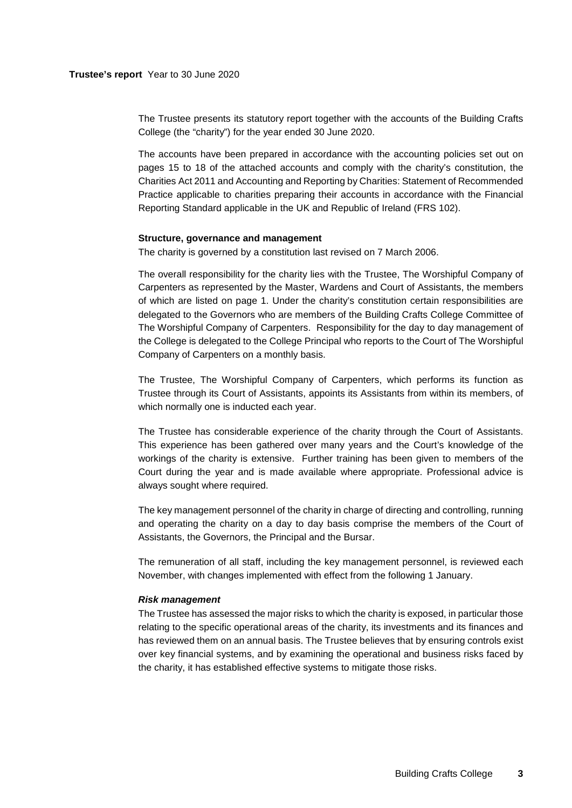#### **Trustee's report** Year to 30 June 2020

The Trustee presents its statutory report together with the accounts of the Building Crafts College (the "charity") for the year ended 30 June 2020.

The accounts have been prepared in accordance with the accounting policies set out on pages [15](#page-16-0) to [18](#page-19-0) of the attached accounts and comply with the charity's constitution, the Charities Act 2011 and Accounting and Reporting by Charities: Statement of Recommended Practice applicable to charities preparing their accounts in accordance with the Financial Reporting Standard applicable in the UK and Republic of Ireland (FRS 102).

## <span id="page-4-0"></span>**Structure, governance and management**

The charity is governed by a constitution last revised on 7 March 2006.

The overall responsibility for the charity lies with the Trustee, The Worshipful Company of Carpenters as represented by the Master, Wardens and Court of Assistants, the members of which are listed on page [1.](#page-2-0) Under the charity's constitution certain responsibilities are delegated to the Governors who are members of the Building Crafts College Committee of The Worshipful Company of Carpenters. Responsibility for the day to day management of the College is delegated to the College Principal who reports to the Court of The Worshipful Company of Carpenters on a monthly basis.

The Trustee, The Worshipful Company of Carpenters, which performs its function as Trustee through its Court of Assistants, appoints its Assistants from within its members, of which normally one is inducted each year.

The Trustee has considerable experience of the charity through the Court of Assistants. This experience has been gathered over many years and the Court's knowledge of the workings of the charity is extensive. Further training has been given to members of the Court during the year and is made available where appropriate. Professional advice is always sought where required.

The key management personnel of the charity in charge of directing and controlling, running and operating the charity on a day to day basis comprise the members of the Court of Assistants, the Governors, the Principal and the Bursar.

The remuneration of all staff, including the key management personnel, is reviewed each November, with changes implemented with effect from the following 1 January.

#### *Risk management*

The Trustee has assessed the major risks to which the charity is exposed, in particular those relating to the specific operational areas of the charity, its investments and its finances and has reviewed them on an annual basis. The Trustee believes that by ensuring controls exist over key financial systems, and by examining the operational and business risks faced by the charity, it has established effective systems to mitigate those risks.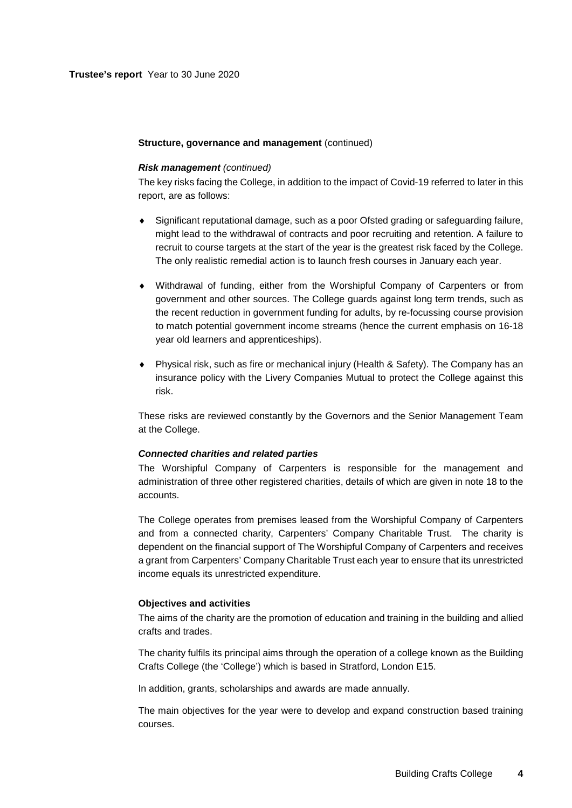## **Structure, governance and management** (continued)

#### *Risk management (continued)*

The key risks facing the College, in addition to the impact of Covid-19 referred to later in this report, are as follows:

- ♦ Significant reputational damage, such as a poor Ofsted grading or safeguarding failure, might lead to the withdrawal of contracts and poor recruiting and retention. A failure to recruit to course targets at the start of the year is the greatest risk faced by the College. The only realistic remedial action is to launch fresh courses in January each year.
- ♦ Withdrawal of funding, either from the Worshipful Company of Carpenters or from government and other sources. The College guards against long term trends, such as the recent reduction in government funding for adults, by re-focussing course provision to match potential government income streams (hence the current emphasis on 16-18 year old learners and apprenticeships).
- ♦ Physical risk, such as fire or mechanical injury (Health & Safety). The Company has an insurance policy with the Livery Companies Mutual to protect the College against this risk.

These risks are reviewed constantly by the Governors and the Senior Management Team at the College.

#### *Connected charities and related parties*

The Worshipful Company of Carpenters is responsible for the management and administration of three other registered charities, details of which are given in note 18 to the accounts.

The College operates from premises leased from the Worshipful Company of Carpenters and from a connected charity, Carpenters' Company Charitable Trust. The charity is dependent on the financial support of The Worshipful Company of Carpenters and receives a grant from Carpenters' Company Charitable Trust each year to ensure that its unrestricted income equals its unrestricted expenditure.

#### **Objectives and activities**

The aims of the charity are the promotion of education and training in the building and allied crafts and trades.

The charity fulfils its principal aims through the operation of a college known as the Building Crafts College (the 'College') which is based in Stratford, London E15.

In addition, grants, scholarships and awards are made annually.

The main objectives for the year were to develop and expand construction based training courses.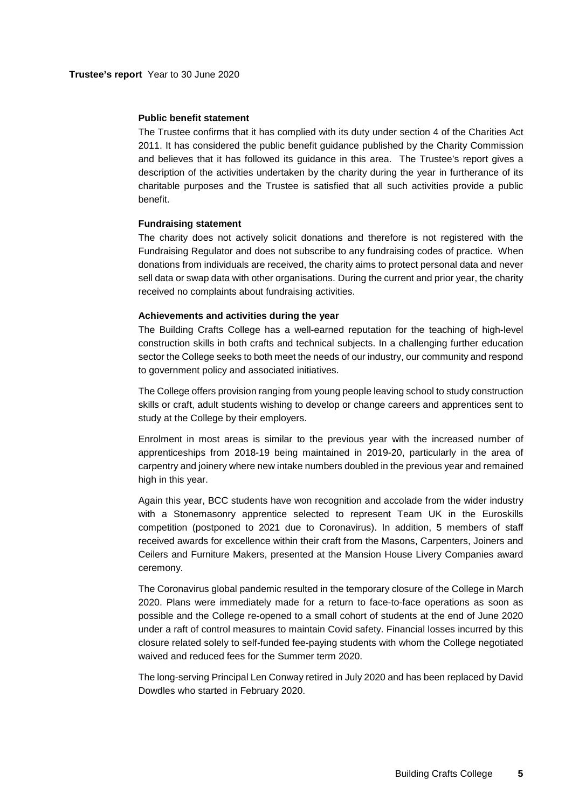#### **Public benefit statement**

The Trustee confirms that it has complied with its duty under section 4 of the Charities Act 2011. It has considered the public benefit guidance published by the Charity Commission and believes that it has followed its guidance in this area. The Trustee's report gives a description of the activities undertaken by the charity during the year in furtherance of its charitable purposes and the Trustee is satisfied that all such activities provide a public benefit.

#### **Fundraising statement**

The charity does not actively solicit donations and therefore is not registered with the Fundraising Regulator and does not subscribe to any fundraising codes of practice. When donations from individuals are received, the charity aims to protect personal data and never sell data or swap data with other organisations. During the current and prior year, the charity received no complaints about fundraising activities.

# **Achievements and activities during the year**

The Building Crafts College has a well-earned reputation for the teaching of high-level construction skills in both crafts and technical subjects. In a challenging further education sector the College seeks to both meet the needs of our industry, our community and respond to government policy and associated initiatives.

The College offers provision ranging from young people leaving school to study construction skills or craft, adult students wishing to develop or change careers and apprentices sent to study at the College by their employers.

Enrolment in most areas is similar to the previous year with the increased number of apprenticeships from 2018-19 being maintained in 2019-20, particularly in the area of carpentry and joinery where new intake numbers doubled in the previous year and remained high in this year.

Again this year, BCC students have won recognition and accolade from the wider industry with a Stonemasonry apprentice selected to represent Team UK in the Euroskills competition (postponed to 2021 due to Coronavirus). In addition, 5 members of staff received awards for excellence within their craft from the Masons, Carpenters, Joiners and Ceilers and Furniture Makers, presented at the Mansion House Livery Companies award ceremony.

The Coronavirus global pandemic resulted in the temporary closure of the College in March 2020. Plans were immediately made for a return to face-to-face operations as soon as possible and the College re-opened to a small cohort of students at the end of June 2020 under a raft of control measures to maintain Covid safety. Financial losses incurred by this closure related solely to self-funded fee-paying students with whom the College negotiated waived and reduced fees for the Summer term 2020.

The long-serving Principal Len Conway retired in July 2020 and has been replaced by David Dowdles who started in February 2020.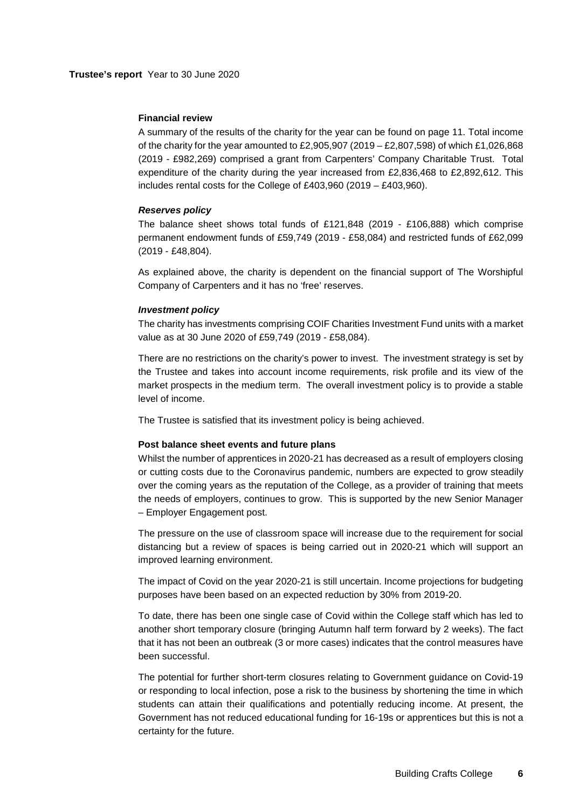#### **Financial review**

A summary of the results of the charity for the year can be found on page 11. Total income of the charity for the year amounted to £2,905,907 (2019 – £2,807,598) of which £1,026,868 (2019 - £982,269) comprised a grant from Carpenters' Company Charitable Trust. Total expenditure of the charity during the year increased from £2,836,468 to £2,892,612. This includes rental costs for the College of £403,960 (2019 – £403,960).

#### *Reserves policy*

The balance sheet shows total funds of £121,848 (2019 - £106,888) which comprise permanent endowment funds of £59,749 (2019 - £58,084) and restricted funds of £62,099 (2019 - £48,804).

As explained above, the charity is dependent on the financial support of The Worshipful Company of Carpenters and it has no 'free' reserves.

## *Investment policy*

The charity has investments comprising COIF Charities Investment Fund units with a market value as at 30 June 2020 of £59,749 (2019 - £58,084).

There are no restrictions on the charity's power to invest. The investment strategy is set by the Trustee and takes into account income requirements, risk profile and its view of the market prospects in the medium term. The overall investment policy is to provide a stable level of income.

The Trustee is satisfied that its investment policy is being achieved.

#### **Post balance sheet events and future plans**

Whilst the number of apprentices in 2020-21 has decreased as a result of employers closing or cutting costs due to the Coronavirus pandemic, numbers are expected to grow steadily over the coming years as the reputation of the College, as a provider of training that meets the needs of employers, continues to grow. This is supported by the new Senior Manager – Employer Engagement post.

The pressure on the use of classroom space will increase due to the requirement for social distancing but a review of spaces is being carried out in 2020-21 which will support an improved learning environment.

The impact of Covid on the year 2020-21 is still uncertain. Income projections for budgeting purposes have been based on an expected reduction by 30% from 2019-20.

To date, there has been one single case of Covid within the College staff which has led to another short temporary closure (bringing Autumn half term forward by 2 weeks). The fact that it has not been an outbreak (3 or more cases) indicates that the control measures have been successful.

The potential for further short-term closures relating to Government guidance on Covid-19 or responding to local infection, pose a risk to the business by shortening the time in which students can attain their qualifications and potentially reducing income. At present, the Government has not reduced educational funding for 16-19s or apprentices but this is not a certainty for the future.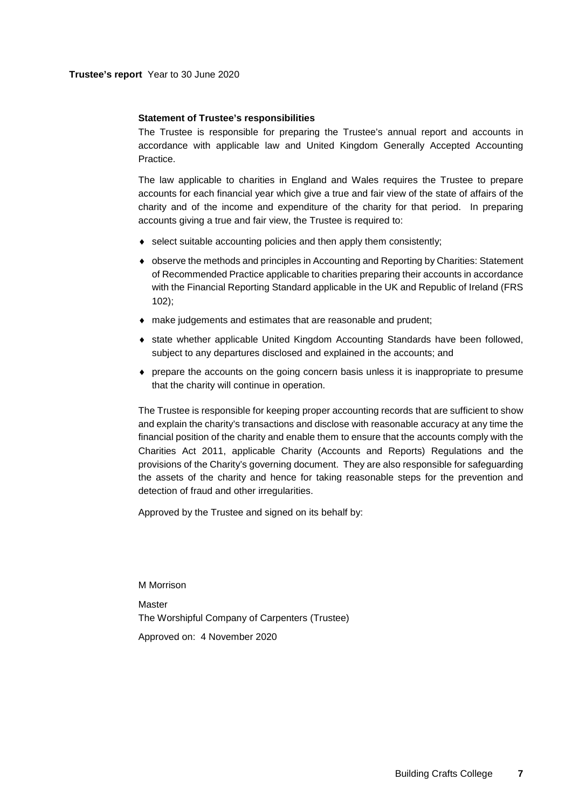## **Statement of Trustee's responsibilities**

The Trustee is responsible for preparing the Trustee's annual report and accounts in accordance with applicable law and United Kingdom Generally Accepted Accounting Practice.

The law applicable to charities in England and Wales requires the Trustee to prepare accounts for each financial year which give a true and fair view of the state of affairs of the charity and of the income and expenditure of the charity for that period. In preparing accounts giving a true and fair view, the Trustee is required to:

- ♦ select suitable accounting policies and then apply them consistently;
- ♦ observe the methods and principles in Accounting and Reporting by Charities: Statement of Recommended Practice applicable to charities preparing their accounts in accordance with the Financial Reporting Standard applicable in the UK and Republic of Ireland (FRS 102);
- ♦ make judgements and estimates that are reasonable and prudent;
- ♦ state whether applicable United Kingdom Accounting Standards have been followed, subject to any departures disclosed and explained in the accounts; and
- ♦ prepare the accounts on the going concern basis unless it is inappropriate to presume that the charity will continue in operation.

The Trustee is responsible for keeping proper accounting records that are sufficient to show and explain the charity's transactions and disclose with reasonable accuracy at any time the financial position of the charity and enable them to ensure that the accounts comply with the Charities Act 2011, applicable Charity (Accounts and Reports) Regulations and the provisions of the Charity's governing document. They are also responsible for safeguarding the assets of the charity and hence for taking reasonable steps for the prevention and detection of fraud and other irregularities.

Approved by the Trustee and signed on its behalf by:

M Morrison

**Master** The Worshipful Company of Carpenters (Trustee) Approved on: 4 November 2020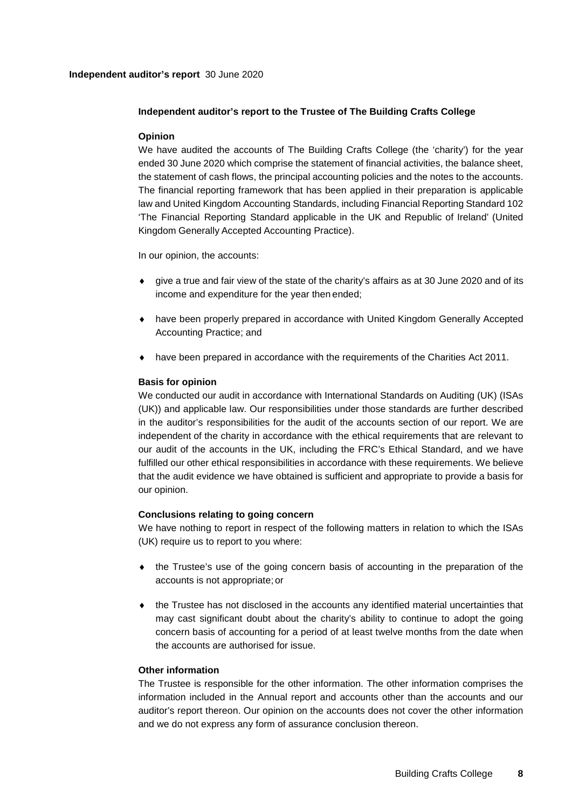# **Independent auditor's report** 30 June 2020

# <span id="page-9-0"></span>**Independent auditor's report to the Trustee of The Building Crafts College**

# **Opinion**

We have audited the accounts of The Building Crafts College (the 'charity') for the year ended 30 June 2020 which comprise the statement of financial activities, the balance sheet, the statement of cash flows, the principal accounting policies and the notes to the accounts. The financial reporting framework that has been applied in their preparation is applicable law and United Kingdom Accounting Standards, including Financial Reporting Standard 102 'The Financial Reporting Standard applicable in the UK and Republic of Ireland' (United Kingdom Generally Accepted Accounting Practice).

In our opinion, the accounts:

- ♦ give a true and fair view of the state of the charity's affairs as at 30 June 2020 and of its income and expenditure for the year then ended;
- ♦ have been properly prepared in accordance with United Kingdom Generally Accepted Accounting Practice; and
- ♦ have been prepared in accordance with the requirements of the Charities Act 2011.

# **Basis for opinion**

We conducted our audit in accordance with International Standards on Auditing (UK) (ISAs (UK)) and applicable law. Our responsibilities under those standards are further described in the auditor's responsibilities for the audit of the accounts section of our report. We are independent of the charity in accordance with the ethical requirements that are relevant to our audit of the accounts in the UK, including the FRC's Ethical Standard, and we have fulfilled our other ethical responsibilities in accordance with these requirements. We believe that the audit evidence we have obtained is sufficient and appropriate to provide a basis for our opinion.

## **Conclusions relating to going concern**

We have nothing to report in respect of the following matters in relation to which the ISAs (UK) require us to report to you where:

- ♦ the Trustee's use of the going concern basis of accounting in the preparation of the accounts is not appropriate; or
- ♦ the Trustee has not disclosed in the accounts any identified material uncertainties that may cast significant doubt about the charity's ability to continue to adopt the going concern basis of accounting for a period of at least twelve months from the date when the accounts are authorised for issue.

## **Other information**

The Trustee is responsible for the other information. The other information comprises the information included in the Annual report and accounts other than the accounts and our auditor's report thereon. Our opinion on the accounts does not cover the other information and we do not express any form of assurance conclusion thereon.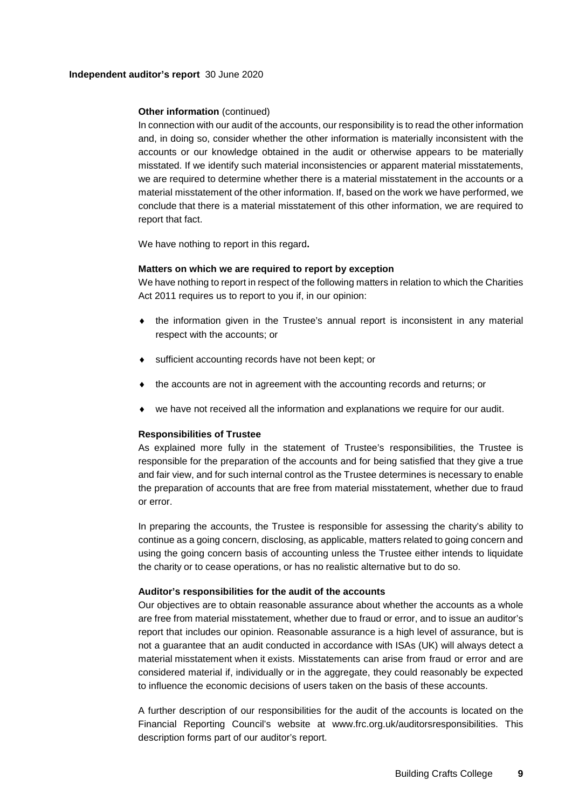## **Independent auditor's report** 30 June 2020

# **Other information** (continued)

In connection with our audit of the accounts, our responsibility is to read the other information and, in doing so, consider whether the other information is materially inconsistent with the accounts or our knowledge obtained in the audit or otherwise appears to be materially misstated. If we identify such material inconsistencies or apparent material misstatements, we are required to determine whether there is a material misstatement in the accounts or a material misstatement of the other information. If, based on the work we have performed, we conclude that there is a material misstatement of this other information, we are required to report that fact.

We have nothing to report in this regard**.**

# **Matters on which we are required to report by exception**

We have nothing to report in respect of the following matters in relation to which the Charities Act 2011 requires us to report to you if, in our opinion:

- ♦ the information given in the Trustee's annual report is inconsistent in any material respect with the accounts; or
- ♦ sufficient accounting records have not been kept; or
- the accounts are not in agreement with the accounting records and returns; or
- ♦ we have not received all the information and explanations we require for our audit.

# **Responsibilities of Trustee**

As explained more fully in the statement of Trustee's responsibilities, the Trustee is responsible for the preparation of the accounts and for being satisfied that they give a true and fair view, and for such internal control as the Trustee determines is necessary to enable the preparation of accounts that are free from material misstatement, whether due to fraud or error.

In preparing the accounts, the Trustee is responsible for assessing the charity's ability to continue as a going concern, disclosing, as applicable, matters related to going concern and using the going concern basis of accounting unless the Trustee either intends to liquidate the charity or to cease operations, or has no realistic alternative but to do so.

## **Auditor's responsibilities for the audit of the accounts**

Our objectives are to obtain reasonable assurance about whether the accounts as a whole are free from material misstatement, whether due to fraud or error, and to issue an auditor's report that includes our opinion. Reasonable assurance is a high level of assurance, but is not a guarantee that an audit conducted in accordance with ISAs (UK) will always detect a material misstatement when it exists. Misstatements can arise from fraud or error and are considered material if, individually or in the aggregate, they could reasonably be expected to influence the economic decisions of users taken on the basis of these accounts.

A further description of our responsibilities for the audit of the accounts is located on the Financial Reporting Council's website at www.frc.org.uk/auditorsresponsibilities. This description forms part of our auditor's report.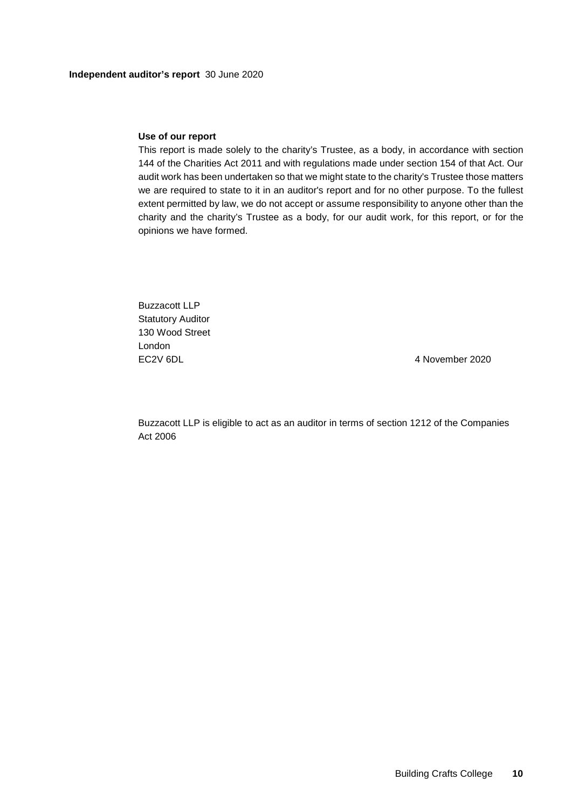## **Use of our report**

This report is made solely to the charity's Trustee, as a body, in accordance with section 144 of the Charities Act 2011 and with regulations made under section 154 of that Act. Our audit work has been undertaken so that we might state to the charity's Trustee those matters we are required to state to it in an auditor's report and for no other purpose. To the fullest extent permitted by law, we do not accept or assume responsibility to anyone other than the charity and the charity's Trustee as a body, for our audit work, for this report, or for the opinions we have formed.

Buzzacott LLP Statutory Auditor 130 Wood Street London EC2V 6DL 4 November 2020

Buzzacott LLP is eligible to act as an auditor in terms of section 1212 of the Companies Act 2006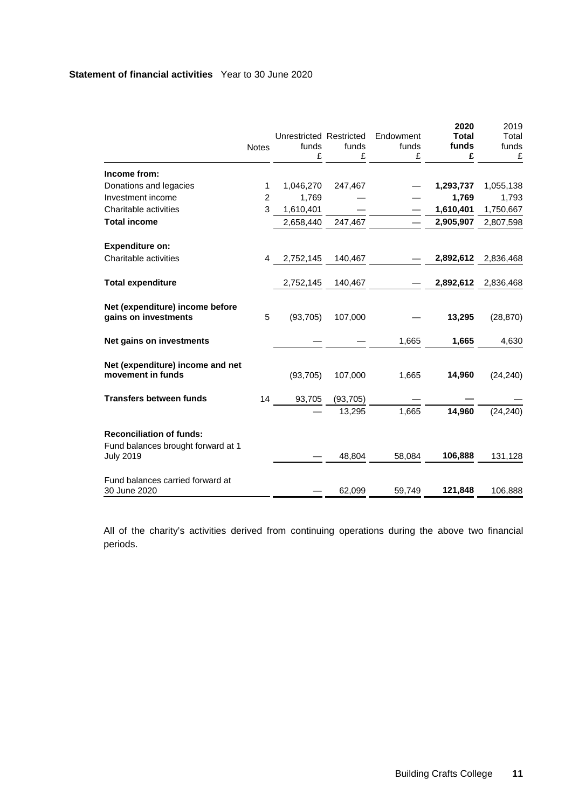<span id="page-12-0"></span>

|                                                         |              |                                  |           |                    | 2020                  | 2019           |
|---------------------------------------------------------|--------------|----------------------------------|-----------|--------------------|-----------------------|----------------|
|                                                         | <b>Notes</b> | Unrestricted Restricted<br>funds | funds     | Endowment<br>funds | <b>Total</b><br>funds | Total<br>funds |
|                                                         |              | £                                | £         | £                  | £                     | £              |
| Income from:                                            |              |                                  |           |                    |                       |                |
| Donations and legacies                                  | 1            | 1,046,270                        | 247,467   |                    | 1,293,737             | 1,055,138      |
| Investment income                                       | 2            | 1,769                            |           |                    | 1,769                 | 1,793          |
| Charitable activities                                   | 3            | 1,610,401                        |           |                    | 1,610,401             | 1,750,667      |
| <b>Total income</b>                                     |              | 2,658,440                        | 247,467   |                    | 2,905,907             | 2,807,598      |
| <b>Expenditure on:</b>                                  |              |                                  |           |                    |                       |                |
| Charitable activities                                   | 4            | 2,752,145                        | 140,467   |                    | 2,892,612             | 2,836,468      |
| <b>Total expenditure</b>                                |              | 2,752,145                        | 140,467   |                    | 2,892,612             | 2,836,468      |
| Net (expenditure) income before<br>gains on investments | 5            | (93, 705)                        | 107,000   |                    | 13,295                | (28, 870)      |
| Net gains on investments                                |              |                                  |           | 1,665              | 1,665                 | 4,630          |
| Net (expenditure) income and net<br>movement in funds   |              | (93, 705)                        | 107,000   | 1,665              | 14,960                | (24, 240)      |
| <b>Transfers between funds</b>                          | 14           | 93,705                           | (93, 705) |                    |                       |                |
|                                                         |              |                                  | 13,295    | 1,665              | 14,960                | (24, 240)      |
| <b>Reconciliation of funds:</b>                         |              |                                  |           |                    |                       |                |
| Fund balances brought forward at 1<br><b>July 2019</b>  |              |                                  | 48,804    | 58,084             | 106,888               | 131,128        |
| Fund balances carried forward at<br>30 June 2020        |              |                                  | 62,099    | 59,749             | 121,848               | 106,888        |

All of the charity's activities derived from continuing operations during the above two financial periods.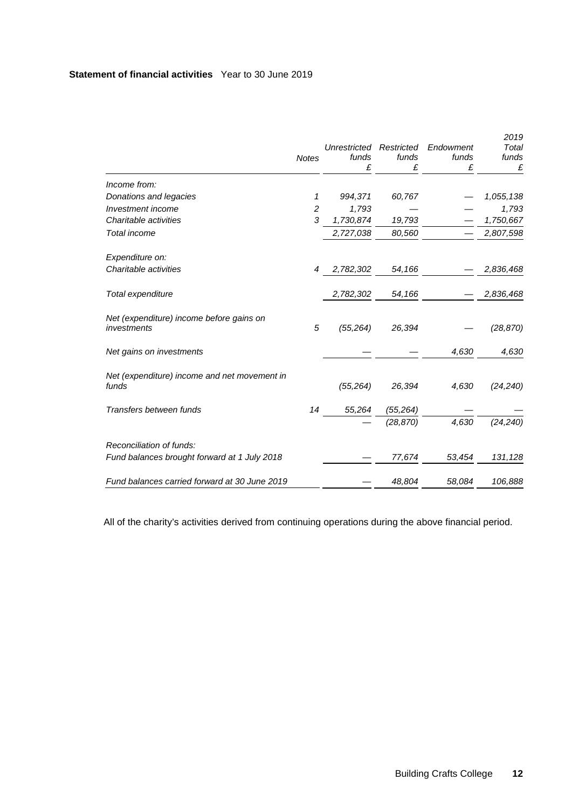# **Statement of financial activities** Year to 30 June 2019

|                                                         | <b>Notes</b>   | Unrestricted Restricted<br>funds<br>£ | funds<br>£ | Endowment<br>funds<br>£ | 2019<br>Total<br>funds<br>£ |
|---------------------------------------------------------|----------------|---------------------------------------|------------|-------------------------|-----------------------------|
| Income from:                                            |                |                                       |            |                         |                             |
| Donations and legacies                                  | 1              | 994,371                               | 60,767     |                         | 1,055,138                   |
| Investment income                                       | $\overline{c}$ | 1,793                                 |            |                         | 1,793                       |
| Charitable activities                                   | 3              | 1,730,874                             | 19,793     |                         | 1,750,667                   |
| Total income                                            |                | 2,727,038                             | 80,560     |                         | 2,807,598                   |
| Expenditure on:                                         |                |                                       |            |                         |                             |
| Charitable activities                                   | 4              | 2,782,302                             | 54,166     |                         | 2,836,468                   |
| Total expenditure                                       |                | 2,782,302                             | 54,166     |                         | 2,836,468                   |
| Net (expenditure) income before gains on<br>investments | 5              | (55, 264)                             | 26,394     |                         | (28, 870)                   |
| Net gains on investments                                |                |                                       |            | 4,630                   | 4,630                       |
| Net (expenditure) income and net movement in<br>funds   |                | (55, 264)                             | 26,394     | 4,630                   | (24,240)                    |
| Transfers between funds                                 | 14             | 55,264                                | (55, 264)  |                         |                             |
|                                                         |                |                                       | (28, 870)  | 4,630                   | (24, 240)                   |
| Reconciliation of funds:                                |                |                                       |            |                         |                             |
| Fund balances brought forward at 1 July 2018            |                |                                       | 77,674     | 53,454                  | 131,128                     |
| Fund balances carried forward at 30 June 2019           |                |                                       | 48,804     | 58,084                  | 106,888                     |

All of the charity's activities derived from continuing operations during the above financial period.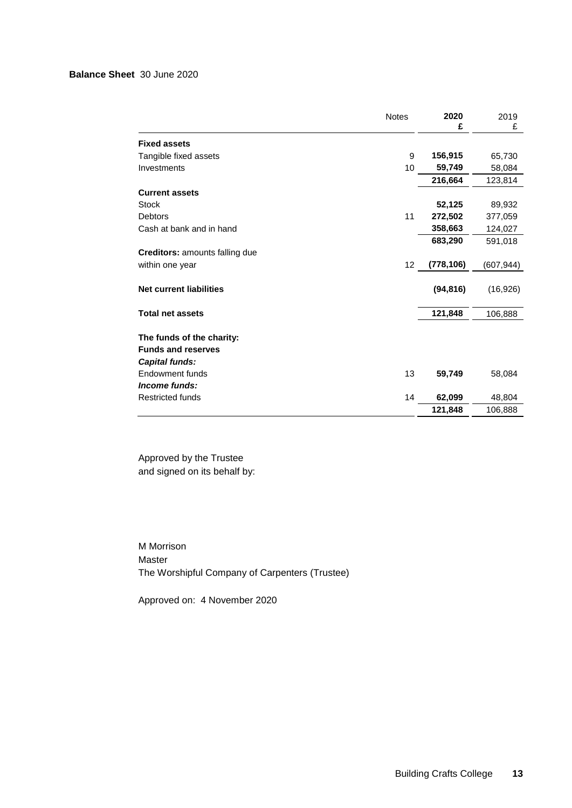# **Balance Sheet** 30 June 2020

<span id="page-14-0"></span>

|                                       | <b>Notes</b> | 2020<br>£  | 2019<br>£  |
|---------------------------------------|--------------|------------|------------|
| <b>Fixed assets</b>                   |              |            |            |
| Tangible fixed assets                 | 9            | 156,915    | 65,730     |
| Investments                           | 10           | 59,749     | 58,084     |
|                                       |              | 216,664    | 123,814    |
| <b>Current assets</b>                 |              |            |            |
| <b>Stock</b>                          |              | 52,125     | 89,932     |
| <b>Debtors</b>                        | 11           | 272,502    | 377,059    |
| Cash at bank and in hand              |              | 358,663    | 124,027    |
|                                       |              | 683,290    | 591,018    |
| <b>Creditors:</b> amounts falling due |              |            |            |
| within one year                       | 12           | (778, 106) | (607, 944) |
|                                       |              |            |            |
| <b>Net current liabilities</b>        |              | (94, 816)  | (16, 926)  |
|                                       |              |            |            |
| <b>Total net assets</b>               |              | 121,848    | 106,888    |
|                                       |              |            |            |
| The funds of the charity:             |              |            |            |
| <b>Funds and reserves</b>             |              |            |            |
| Capital funds:                        |              |            |            |
| Endowment funds                       | 13           | 59,749     | 58,084     |
| Income funds:                         |              |            |            |
| <b>Restricted funds</b>               | 14           | 62,099     | 48,804     |
|                                       |              | 121,848    | 106,888    |

Approved by the Trustee and signed on its behalf by:

M Morrison Master The Worshipful Company of Carpenters (Trustee)

Approved on: 4 November 2020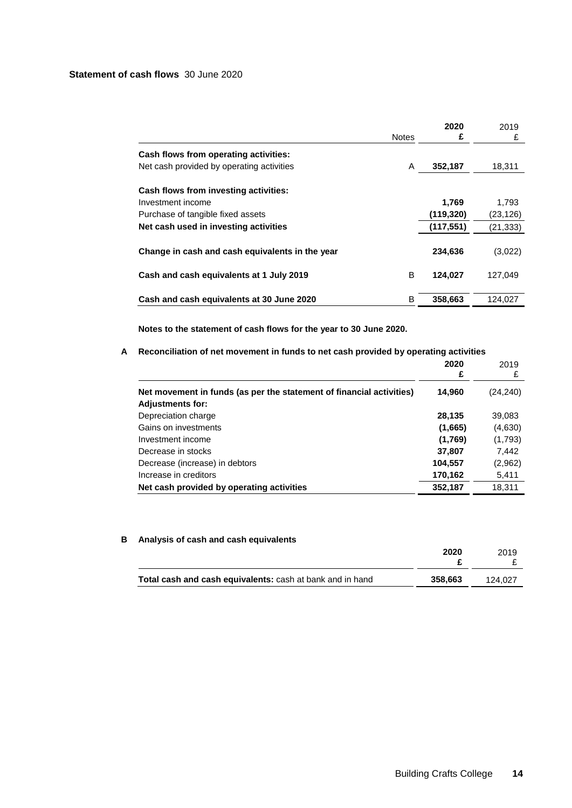# **Statement of cash flows** 30 June 2020

<span id="page-15-0"></span>

|                                                 | <b>Notes</b> | 2020<br>£  | 2019<br>£ |
|-------------------------------------------------|--------------|------------|-----------|
| Cash flows from operating activities:           |              |            |           |
| Net cash provided by operating activities       | A            | 352,187    | 18,311    |
| Cash flows from investing activities:           |              |            |           |
| Investment income                               |              | 1.769      | 1.793     |
| Purchase of tangible fixed assets               |              | (119, 320) | (23, 126) |
| Net cash used in investing activities           |              | (117, 551) | (21, 333) |
| Change in cash and cash equivalents in the year |              | 234,636    | (3,022)   |
| Cash and cash equivalents at 1 July 2019        | B            | 124,027    | 127.049   |
| Cash and cash equivalents at 30 June 2020       | B            | 358,663    | 124,027   |

**Notes to the statement of cash flows for the year to 30 June 2020.**

# **A Reconciliation of net movement in funds to net cash provided by operating activities**

|                                                                                                 | 2020<br>£ | 2019<br>£ |
|-------------------------------------------------------------------------------------------------|-----------|-----------|
| Net movement in funds (as per the statement of financial activities)<br><b>Adjustments for:</b> | 14,960    | (24, 240) |
| Depreciation charge                                                                             | 28,135    | 39,083    |
| Gains on investments                                                                            | (1,665)   | (4,630)   |
| Investment income                                                                               | (1,769)   | (1,793)   |
| Decrease in stocks                                                                              | 37,807    | 7,442     |
| Decrease (increase) in debtors                                                                  | 104,557   | (2,962)   |
| Increase in creditors                                                                           | 170,162   | 5,411     |
| Net cash provided by operating activities                                                       | 352,187   | 18,311    |

# **B Analysis of cash and cash equivalents**

|                                                           | 2020    | 2019    |
|-----------------------------------------------------------|---------|---------|
| Total cash and cash equivalents: cash at bank and in hand | 358.663 | 124.027 |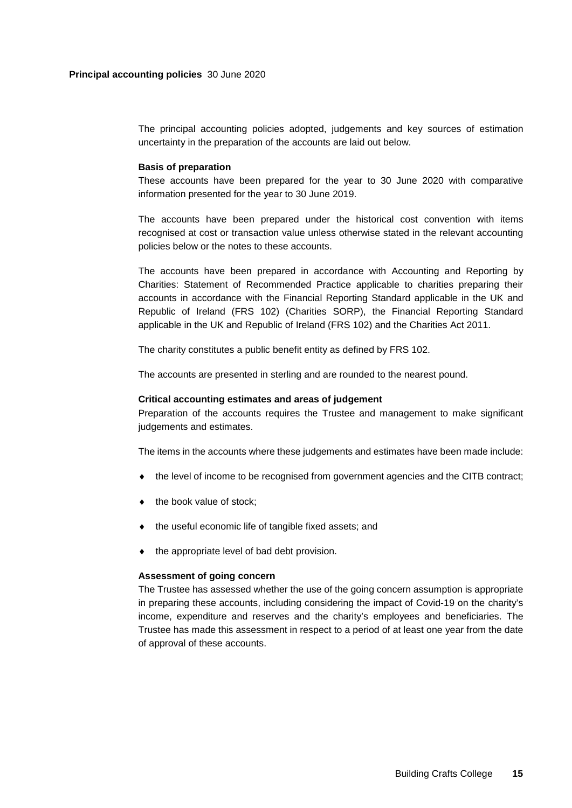<span id="page-16-0"></span>The principal accounting policies adopted, judgements and key sources of estimation uncertainty in the preparation of the accounts are laid out below.

#### **Basis of preparation**

These accounts have been prepared for the year to 30 June 2020 with comparative information presented for the year to 30 June 2019.

The accounts have been prepared under the historical cost convention with items recognised at cost or transaction value unless otherwise stated in the relevant accounting policies below or the notes to these accounts.

The accounts have been prepared in accordance with Accounting and Reporting by Charities: Statement of Recommended Practice applicable to charities preparing their accounts in accordance with the Financial Reporting Standard applicable in the UK and Republic of Ireland (FRS 102) (Charities SORP), the Financial Reporting Standard applicable in the UK and Republic of Ireland (FRS 102) and the Charities Act 2011.

The charity constitutes a public benefit entity as defined by FRS 102.

The accounts are presented in sterling and are rounded to the nearest pound.

## **Critical accounting estimates and areas of judgement**

Preparation of the accounts requires the Trustee and management to make significant judgements and estimates.

The items in the accounts where these judgements and estimates have been made include:

- ♦ the level of income to be recognised from government agencies and the CITB contract;
- $\bullet$  the book value of stock;
- ♦ the useful economic life of tangible fixed assets; and
- ♦ the appropriate level of bad debt provision.

#### **Assessment of going concern**

The Trustee has assessed whether the use of the going concern assumption is appropriate in preparing these accounts, including considering the impact of Covid-19 on the charity's income, expenditure and reserves and the charity's employees and beneficiaries. The Trustee has made this assessment in respect to a period of at least one year from the date of approval of these accounts.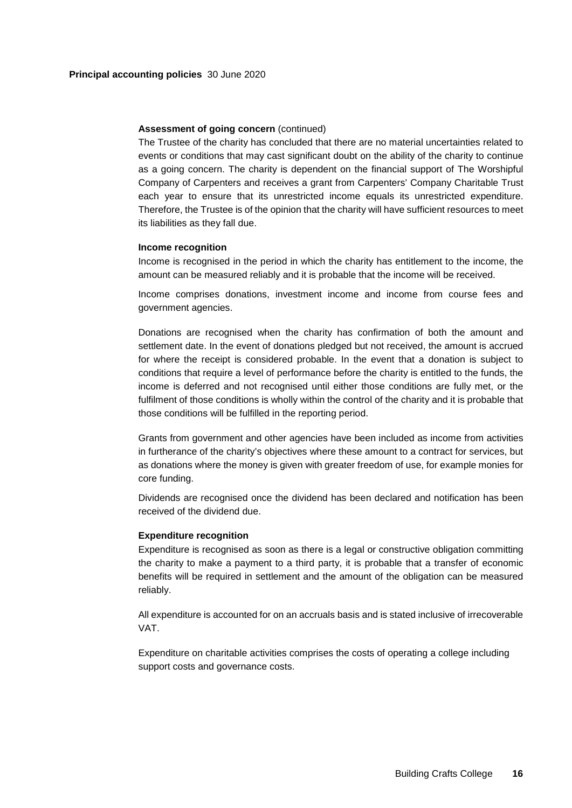#### **Assessment of going concern** (continued)

The Trustee of the charity has concluded that there are no material uncertainties related to events or conditions that may cast significant doubt on the ability of the charity to continue as a going concern. The charity is dependent on the financial support of The Worshipful Company of Carpenters and receives a grant from Carpenters' Company Charitable Trust each year to ensure that its unrestricted income equals its unrestricted expenditure. Therefore, the Trustee is of the opinion that the charity will have sufficient resources to meet its liabilities as they fall due.

## **Income recognition**

Income is recognised in the period in which the charity has entitlement to the income, the amount can be measured reliably and it is probable that the income will be received.

Income comprises donations, investment income and income from course fees and government agencies.

Donations are recognised when the charity has confirmation of both the amount and settlement date. In the event of donations pledged but not received, the amount is accrued for where the receipt is considered probable. In the event that a donation is subject to conditions that require a level of performance before the charity is entitled to the funds, the income is deferred and not recognised until either those conditions are fully met, or the fulfilment of those conditions is wholly within the control of the charity and it is probable that those conditions will be fulfilled in the reporting period.

Grants from government and other agencies have been included as income from activities in furtherance of the charity's objectives where these amount to a contract for services, but as donations where the money is given with greater freedom of use, for example monies for core funding.

Dividends are recognised once the dividend has been declared and notification has been received of the dividend due.

## **Expenditure recognition**

Expenditure is recognised as soon as there is a legal or constructive obligation committing the charity to make a payment to a third party, it is probable that a transfer of economic benefits will be required in settlement and the amount of the obligation can be measured reliably.

All expenditure is accounted for on an accruals basis and is stated inclusive of irrecoverable VAT.

Expenditure on charitable activities comprises the costs of operating a college including support costs and governance costs.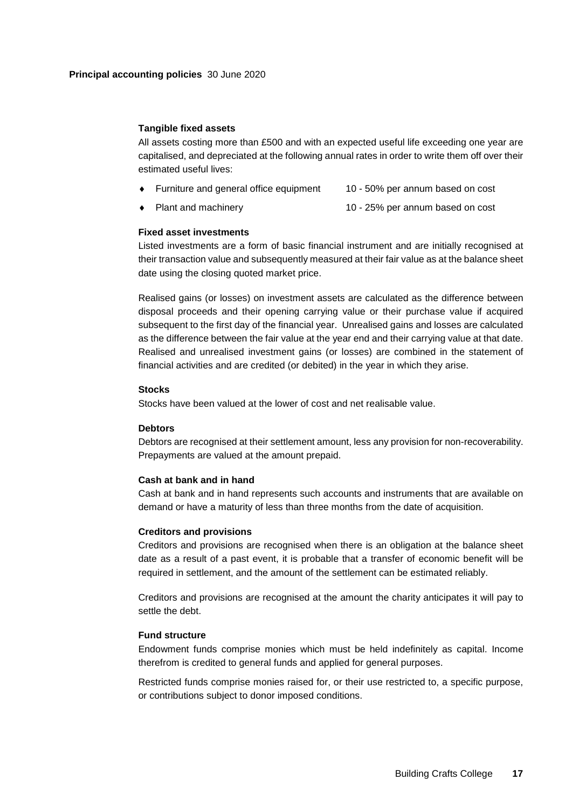#### **Tangible fixed assets**

All assets costing more than £500 and with an expected useful life exceeding one year are capitalised, and depreciated at the following annual rates in order to write them off over their estimated useful lives:

- Furniture and general office equipment 10 50% per annum based on cost
- Plant and machinery 10 25% per annum based on cost

## **Fixed asset investments**

Listed investments are a form of basic financial instrument and are initially recognised at their transaction value and subsequently measured at their fair value as at the balance sheet date using the closing quoted market price.

Realised gains (or losses) on investment assets are calculated as the difference between disposal proceeds and their opening carrying value or their purchase value if acquired subsequent to the first day of the financial year. Unrealised gains and losses are calculated as the difference between the fair value at the year end and their carrying value at that date. Realised and unrealised investment gains (or losses) are combined in the statement of financial activities and are credited (or debited) in the year in which they arise.

#### **Stocks**

Stocks have been valued at the lower of cost and net realisable value.

## **Debtors**

Debtors are recognised at their settlement amount, less any provision for non-recoverability. Prepayments are valued at the amount prepaid.

## **Cash at bank and in hand**

Cash at bank and in hand represents such accounts and instruments that are available on demand or have a maturity of less than three months from the date of acquisition.

## **Creditors and provisions**

Creditors and provisions are recognised when there is an obligation at the balance sheet date as a result of a past event, it is probable that a transfer of economic benefit will be required in settlement, and the amount of the settlement can be estimated reliably.

Creditors and provisions are recognised at the amount the charity anticipates it will pay to settle the debt.

## **Fund structure**

Endowment funds comprise monies which must be held indefinitely as capital. Income therefrom is credited to general funds and applied for general purposes.

Restricted funds comprise monies raised for, or their use restricted to, a specific purpose, or contributions subject to donor imposed conditions.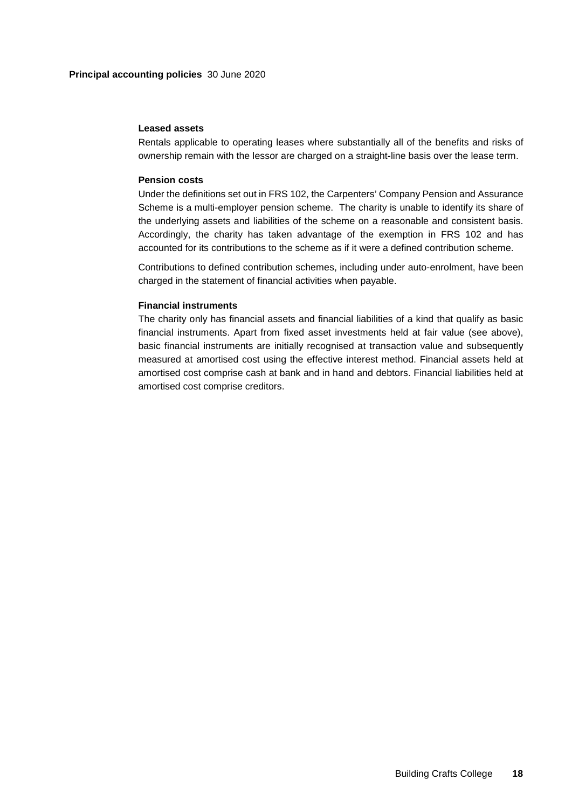## **Leased assets**

Rentals applicable to operating leases where substantially all of the benefits and risks of ownership remain with the lessor are charged on a straight-line basis over the lease term.

## **Pension costs**

Under the definitions set out in FRS 102, the Carpenters' Company Pension and Assurance Scheme is a multi-employer pension scheme. The charity is unable to identify its share of the underlying assets and liabilities of the scheme on a reasonable and consistent basis. Accordingly, the charity has taken advantage of the exemption in FRS 102 and has accounted for its contributions to the scheme as if it were a defined contribution scheme.

Contributions to defined contribution schemes, including under auto-enrolment, have been charged in the statement of financial activities when payable.

## **Financial instruments**

<span id="page-19-0"></span>The charity only has financial assets and financial liabilities of a kind that qualify as basic financial instruments. Apart from fixed asset investments held at fair value (see above), basic financial instruments are initially recognised at transaction value and subsequently measured at amortised cost using the effective interest method. Financial assets held at amortised cost comprise cash at bank and in hand and debtors. Financial liabilities held at amortised cost comprise creditors.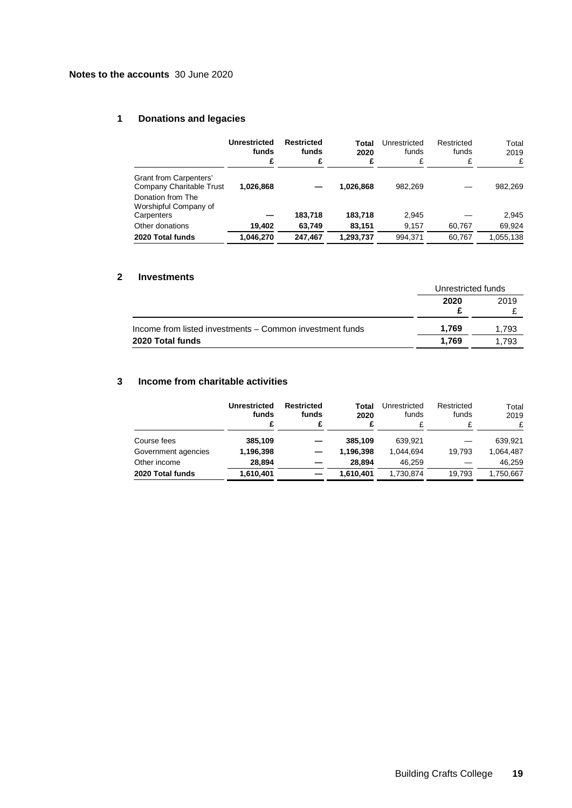# <span id="page-20-0"></span>**1 Donations and legacies**

|                                                          | <b>Unrestricted</b><br>funds<br>£ | Restricted<br>funds<br>£ | Total<br>2020<br>£ | Unrestricted<br>funds<br>£ | Restricted<br>funds<br>£ | Total<br>2019<br>£ |
|----------------------------------------------------------|-----------------------------------|--------------------------|--------------------|----------------------------|--------------------------|--------------------|
| Grant from Carpenters'<br>Company Charitable Trust       | 1.026.868                         |                          | 1,026,868          | 982.269                    |                          | 982,269            |
| Donation from The<br>Worshipful Company of<br>Carpenters |                                   | 183,718                  | 183.718            | 2.945                      |                          | 2.945              |
| Other donations                                          | 19,402                            | 63.749                   | 83.151             | 9,157                      | 60.767                   | 69,924             |
| 2020 Total funds                                         | 1.046.270                         | 247.467                  | 1,293,737          | 994.371                    | 60.767                   | 1,055,138          |

## **2 Investments**

|                                                          |       | Unrestricted funds |  |
|----------------------------------------------------------|-------|--------------------|--|
|                                                          | 2020  | 2019               |  |
| Income from listed investments - Common investment funds | 1.769 | 1.793              |  |
| 2020 Total funds                                         | 1.769 | 1.793              |  |

# **3 Income from charitable activities**

|                     | Unrestricted<br>funds<br>£ | Restricted<br>funds | Total<br>2020 | Unrestricted<br>funds | Restricted<br>funds | Total<br>2019<br>£ |
|---------------------|----------------------------|---------------------|---------------|-----------------------|---------------------|--------------------|
| Course fees         | 385,109                    |                     | 385,109       | 639.921               |                     | 639,921            |
| Government agencies | 1,196,398                  |                     | 1,196,398     | 1.044.694             | 19.793              | 1.064.487          |
| Other income        | 28.894                     |                     | 28.894        | 46.259                |                     | 46.259             |
| 2020 Total funds    | 1,610,401                  |                     | 1,610,401     | 1,730,874             | 19.793              | 1,750,667          |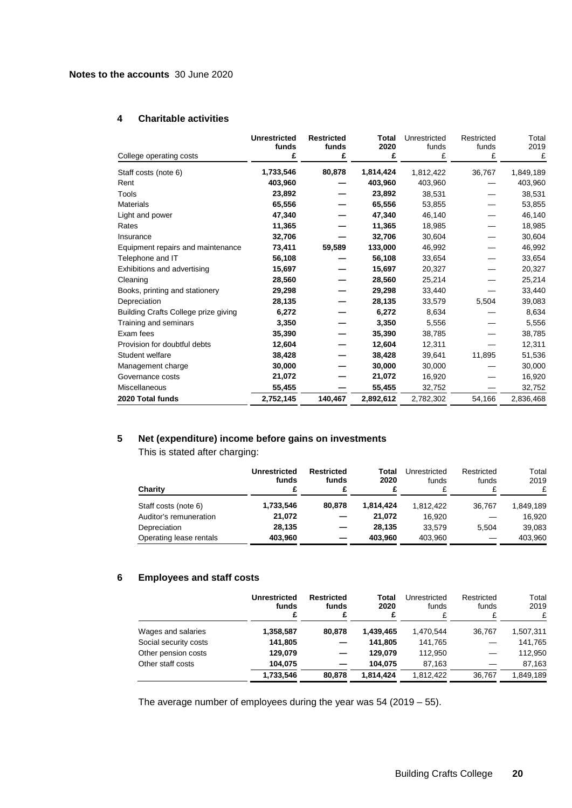# **4 Charitable activities**

| College operating costs              | <b>Unrestricted</b><br>funds<br>£ | <b>Restricted</b><br>funds<br>£ | Total<br>2020<br>£ | Unrestricted<br>funds<br>£ | Restricted<br>funds<br>£ | Total<br>2019<br>£ |
|--------------------------------------|-----------------------------------|---------------------------------|--------------------|----------------------------|--------------------------|--------------------|
| Staff costs (note 6)                 | 1,733,546                         | 80,878                          | 1,814,424          | 1,812,422                  | 36,767                   | 1,849,189          |
| Rent                                 | 403,960                           |                                 | 403,960            | 403,960                    |                          | 403,960            |
| Tools                                | 23,892                            |                                 | 23,892             | 38,531                     |                          | 38,531             |
| <b>Materials</b>                     | 65,556                            |                                 | 65,556             | 53,855                     |                          | 53,855             |
| Light and power                      | 47,340                            |                                 | 47,340             | 46,140                     |                          | 46,140             |
| Rates                                | 11,365                            |                                 | 11,365             | 18,985                     |                          | 18,985             |
| Insurance                            | 32,706                            |                                 | 32,706             | 30,604                     |                          | 30,604             |
| Equipment repairs and maintenance    | 73,411                            | 59,589                          | 133,000            | 46,992                     |                          | 46,992             |
| Telephone and IT                     | 56,108                            |                                 | 56,108             | 33,654                     |                          | 33,654             |
| Exhibitions and advertising          | 15,697                            |                                 | 15,697             | 20,327                     |                          | 20,327             |
| Cleaning                             | 28,560                            |                                 | 28,560             | 25,214                     |                          | 25,214             |
| Books, printing and stationery       | 29,298                            |                                 | 29,298             | 33,440                     |                          | 33,440             |
| Depreciation                         | 28,135                            |                                 | 28,135             | 33,579                     | 5,504                    | 39,083             |
| Building Crafts College prize giving | 6,272                             |                                 | 6,272              | 8,634                      |                          | 8,634              |
| Training and seminars                | 3,350                             |                                 | 3,350              | 5,556                      |                          | 5,556              |
| Exam fees                            | 35,390                            |                                 | 35,390             | 38,785                     |                          | 38,785             |
| Provision for doubtful debts         | 12,604                            |                                 | 12,604             | 12,311                     |                          | 12,311             |
| Student welfare                      | 38,428                            |                                 | 38,428             | 39,641                     | 11,895                   | 51,536             |
| Management charge                    | 30,000                            |                                 | 30,000             | 30,000                     |                          | 30,000             |
| Governance costs                     | 21,072                            |                                 | 21,072             | 16,920                     |                          | 16,920             |
| Miscellaneous                        | 55,455                            |                                 | 55,455             | 32,752                     |                          | 32,752             |
| 2020 Total funds                     | 2,752,145                         | 140,467                         | 2,892,612          | 2,782,302                  | 54,166                   | 2,836,468          |

# **5 Net (expenditure) income before gains on investments**

This is stated after charging:

| Charity                 | Unrestricted<br>funds | Restricted<br>funds | Total<br>2020 | Unrestricted<br>funds | Restricted<br>funds | Total<br>2019<br>£ |
|-------------------------|-----------------------|---------------------|---------------|-----------------------|---------------------|--------------------|
| Staff costs (note 6)    | 1,733,546             | 80.878              | 1.814.424     | 1.812.422             | 36.767              | 1.849.189          |
| Auditor's remuneration  | 21.072                |                     | 21.072        | 16.920                |                     | 16,920             |
| Depreciation            | 28.135                |                     | 28.135        | 33.579                | 5.504               | 39,083             |
| Operating lease rentals | 403,960               |                     | 403.960       | 403,960               |                     | 403,960            |

# **6 Employees and staff costs**

|                       | Unrestricted<br>funds<br>£ | <b>Restricted</b><br>funds<br>£ | Total<br>2020<br>£ | Unrestricted<br>funds<br>£ | Restricted<br>funds<br>¢ | Total<br>2019<br>£ |
|-----------------------|----------------------------|---------------------------------|--------------------|----------------------------|--------------------------|--------------------|
| Wages and salaries    | 1,358,587                  | 80,878                          | 1,439,465          | 1.470.544                  | 36.767                   | 1,507,311          |
| Social security costs | 141,805                    |                                 | 141,805            | 141,765                    |                          | 141,765            |
| Other pension costs   | 129.079                    |                                 | 129.079            | 112,950                    |                          | 112,950            |
| Other staff costs     | 104.075                    |                                 | 104.075            | 87.163                     |                          | 87,163             |
|                       | 1,733,546                  | 80,878                          | 1.814.424          | 1.812.422                  | 36.767                   | 1.849.189          |

The average number of employees during the year was  $54$  (2019 – 55).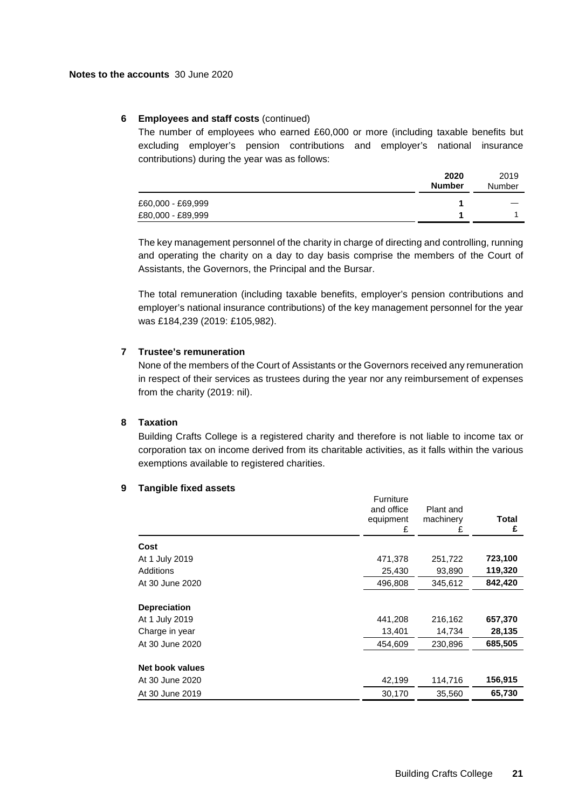## **6 Employees and staff costs** (continued)

The number of employees who earned £60,000 or more (including taxable benefits but excluding employer's pension contributions and employer's national insurance contributions) during the year was as follows:

|                   | 2020<br><b>Number</b> | 2019<br>Number |
|-------------------|-----------------------|----------------|
| £60,000 - £69,999 |                       |                |
| £80,000 - £89,999 |                       |                |

The key management personnel of the charity in charge of directing and controlling, running and operating the charity on a day to day basis comprise the members of the Court of Assistants, the Governors, the Principal and the Bursar.

The total remuneration (including taxable benefits, employer's pension contributions and employer's national insurance contributions) of the key management personnel for the year was £184,239 (2019: £105,982).

# **7 Trustee's remuneration**

None of the members of the Court of Assistants or the Governors received any remuneration in respect of their services as trustees during the year nor any reimbursement of expenses from the charity (2019: nil).

#### **8 Taxation**

Building Crafts College is a registered charity and therefore is not liable to income tax or corporation tax on income derived from its charitable activities, as it falls within the various exemptions available to registered charities.

## **9 Tangible fixed assets**

|                                                         | Furniture<br>and office<br>equipment<br>£ | Plant and<br>machinery<br>£ | Total<br>£        |
|---------------------------------------------------------|-------------------------------------------|-----------------------------|-------------------|
| Cost                                                    |                                           |                             |                   |
| At 1 July 2019                                          | 471,378                                   | 251,722                     | 723,100           |
| Additions                                               | 25,430                                    | 93,890                      | 119,320           |
| At 30 June 2020                                         | 496,808                                   | 345,612                     | 842,420           |
| <b>Depreciation</b><br>At 1 July 2019<br>Charge in year | 441,208<br>13,401                         | 216,162<br>14,734           | 657,370<br>28,135 |
| At 30 June 2020                                         | 454,609                                   | 230,896                     | 685,505           |
| Net book values<br>At 30 June 2020                      | 42,199                                    | 114,716                     | 156,915           |
| At 30 June 2019                                         | 30,170                                    | 35,560                      | 65,730            |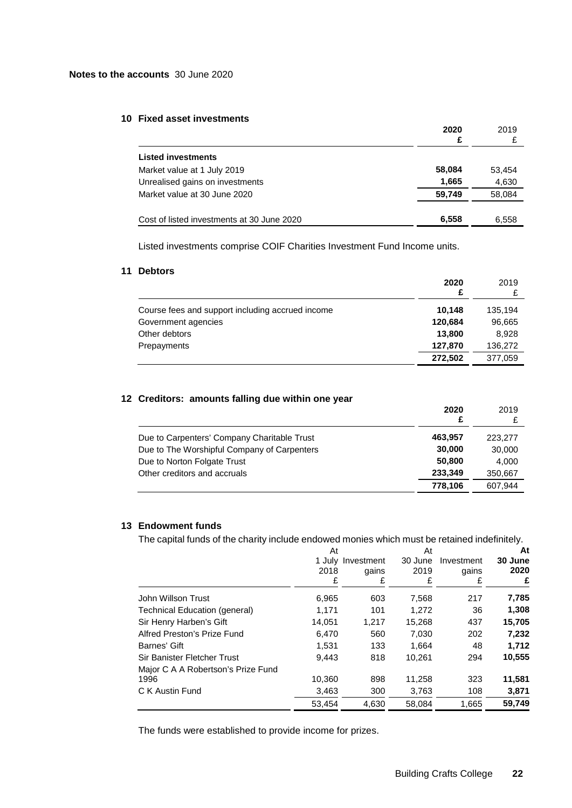#### **10 Fixed asset investments**

|                                            | 2020<br>£ | 2019   |
|--------------------------------------------|-----------|--------|
| <b>Listed investments</b>                  |           |        |
| Market value at 1 July 2019                | 58,084    | 53,454 |
| Unrealised gains on investments            | 1,665     | 4,630  |
| Market value at 30 June 2020               | 59.749    | 58,084 |
| Cost of listed investments at 30 June 2020 | 6,558     | 6,558  |

Listed investments comprise COIF Charities Investment Fund Income units.

# **11 Debtors**

|                                                  | 2020<br>£ | 2019    |
|--------------------------------------------------|-----------|---------|
| Course fees and support including accrued income | 10.148    | 135,194 |
| Government agencies                              | 120.684   | 96,665  |
| Other debtors                                    | 13,800    | 8,928   |
| Prepayments                                      | 127,870   | 136,272 |
|                                                  | 272,502   | 377,059 |

# **12 Creditors: amounts falling due within one year**

|                                             | 2020<br>£ | 2019    |
|---------------------------------------------|-----------|---------|
| Due to Carpenters' Company Charitable Trust | 463.957   | 223.277 |
| Due to The Worshipful Company of Carpenters | 30,000    | 30,000  |
| Due to Norton Folgate Trust                 | 50,800    | 4,000   |
| Other creditors and accruals                | 233.349   | 350,667 |
|                                             | 778,106   | 607.944 |

# **13 Endowment funds**

The capital funds of the charity include endowed monies which must be retained indefinitely.

|                                    | At     | At         |         |            | At      |  |
|------------------------------------|--------|------------|---------|------------|---------|--|
|                                    | 1 July | Investment | 30 June | Investment | 30 June |  |
|                                    | 2018   | qains      | 2019    | qains      | 2020    |  |
|                                    | £      | £          | £       | £          | £       |  |
| John Willson Trust                 | 6,965  | 603        | 7,568   | 217        | 7,785   |  |
| Technical Education (general)      | 1.171  | 101        | 1.272   | 36         | 1,308   |  |
| Sir Henry Harben's Gift            | 14,051 | 1,217      | 15,268  | 437        | 15,705  |  |
| Alfred Preston's Prize Fund        | 6,470  | 560        | 7,030   | 202        | 7,232   |  |
| Barnes' Gift                       | 1.531  | 133        | 1.664   | 48         | 1,712   |  |
| Sir Banister Fletcher Trust        | 9,443  | 818        | 10.261  | 294        | 10,555  |  |
| Major C A A Robertson's Prize Fund |        |            |         |            |         |  |
| 1996                               | 10.360 | 898        | 11,258  | 323        | 11,581  |  |
| C K Austin Fund                    | 3,463  | 300        | 3,763   | 108        | 3,871   |  |
|                                    | 53,454 | 4,630      | 58,084  | 1,665      | 59,749  |  |
|                                    |        |            |         |            |         |  |

The funds were established to provide income for prizes.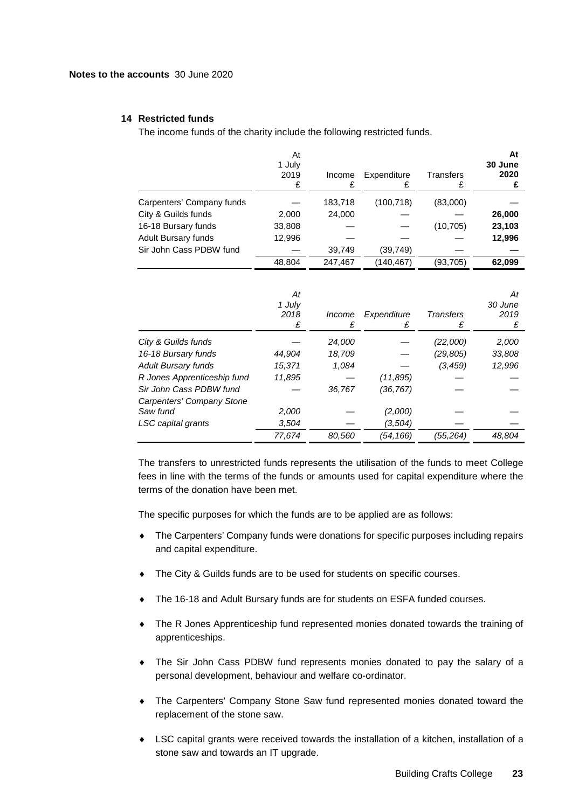## **14 Restricted funds**

The income funds of the charity include the following restricted funds.

|                           | At<br>1 July<br>2019<br>£ | Income<br>£ | Expenditure | Transfers | At<br>30 June<br>2020 |
|---------------------------|---------------------------|-------------|-------------|-----------|-----------------------|
| Carpenters' Company funds |                           | 183,718     | (100, 718)  | (83,000)  |                       |
| City & Guilds funds       | 2,000                     | 24,000      |             |           | 26,000                |
| 16-18 Bursary funds       | 33,808                    |             |             | (10, 705) | 23,103                |
| Adult Bursary funds       | 12,996                    |             |             |           | 12,996                |
| Sir John Cass PDBW fund   |                           | 39,749      | (39, 749)   |           |                       |
|                           | 48.804                    | 247.467     | (140, 467)  | (93,705)  | 62.099                |

|                             | At<br>1 July<br>2018 | Income<br>£ | Expenditure<br>£ | <b>Transfers</b><br>£ | At<br>30 June<br>2019 |
|-----------------------------|----------------------|-------------|------------------|-----------------------|-----------------------|
| City & Guilds funds         |                      | 24,000      |                  | (22,000)              | 2,000                 |
| 16-18 Bursary funds         | 44.904               | 18,709      |                  | (29,805)              | 33,808                |
| <b>Adult Bursary funds</b>  | 15,371               | 1,084       |                  | (3,459)               | 12,996                |
| R Jones Apprenticeship fund | 11,895               |             | (11, 895)        |                       |                       |
| Sir John Cass PDBW fund     |                      | 36,767      | (36, 767)        |                       |                       |
| Carpenters' Company Stone   |                      |             |                  |                       |                       |
| Saw fund                    | 2,000                |             | (2,000)          |                       |                       |
| LSC capital grants          | 3.504                |             | (3,504)          |                       |                       |
|                             | 77,674               | 80.560      | (54,166)         | (55,264)              | 48.804                |

The transfers to unrestricted funds represents the utilisation of the funds to meet College fees in line with the terms of the funds or amounts used for capital expenditure where the terms of the donation have been met.

The specific purposes for which the funds are to be applied are as follows:

- ♦ The Carpenters' Company funds were donations for specific purposes including repairs and capital expenditure.
- The City & Guilds funds are to be used for students on specific courses.
- The 16-18 and Adult Bursary funds are for students on ESFA funded courses.
- ♦ The R Jones Apprenticeship fund represented monies donated towards the training of apprenticeships.
- ♦ The Sir John Cass PDBW fund represents monies donated to pay the salary of a personal development, behaviour and welfare co-ordinator.
- ♦ The Carpenters' Company Stone Saw fund represented monies donated toward the replacement of the stone saw.
- ♦ LSC capital grants were received towards the installation of a kitchen, installation of a stone saw and towards an IT upgrade.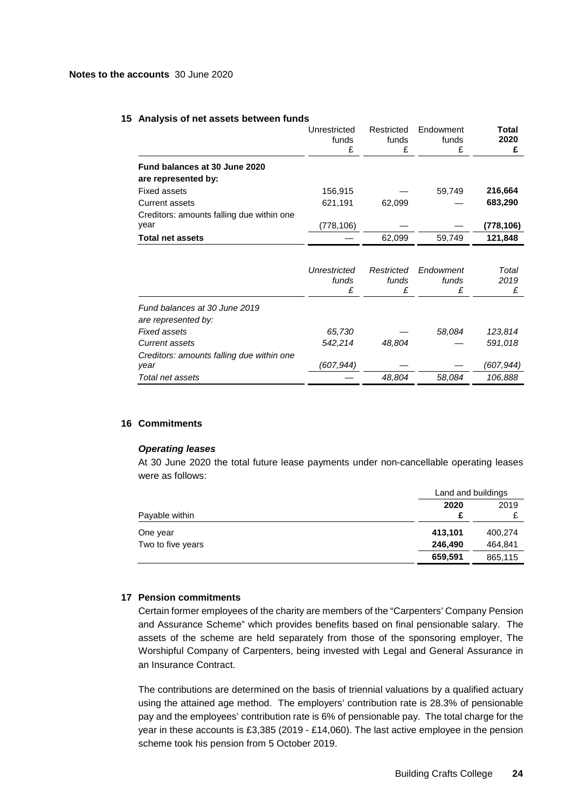#### **15 Analysis of net assets between funds**

|                                                      | Unrestricted<br>funds<br>£ | Restricted<br>funds<br>£ | Endowment<br>funds<br>£ | <b>Total</b><br>2020 |
|------------------------------------------------------|----------------------------|--------------------------|-------------------------|----------------------|
| Fund balances at 30 June 2020<br>are represented by: |                            |                          |                         |                      |
| <b>Fixed assets</b>                                  | 156,915                    |                          | 59,749                  | 216,664              |
| Current assets                                       | 621,191                    | 62.099                   |                         | 683,290              |
| Creditors: amounts falling due within one<br>year    | (778,106)                  |                          |                         | (778, 106)           |
| <b>Total net assets</b>                              |                            | 62.099                   | 59.749                  | 121,848              |
|                                                      |                            |                          |                         |                      |

|                                           | Unrestricted<br>funds | Restricted<br>funds | Endowment<br>funds<br>£ | Total<br>2019<br>£ |
|-------------------------------------------|-----------------------|---------------------|-------------------------|--------------------|
| Fund balances at 30 June 2019             |                       |                     |                         |                    |
| are represented by:                       |                       |                     |                         |                    |
| Fixed assets                              | 65,730                |                     | 58,084                  | 123,814            |
| Current assets                            | 542,214               | 48,804              |                         | 591,018            |
| Creditors: amounts falling due within one |                       |                     |                         |                    |
| year                                      | (607,944)             |                     |                         | (607, 944)         |
| Total net assets                          |                       | 48,804              | 58,084                  | 106,888            |
|                                           |                       |                     |                         |                    |

## **16 Commitments**

#### *Operating leases*

At 30 June 2020 the total future lease payments under non-cancellable operating leases were as follows:

|                   |         | Land and buildings |  |
|-------------------|---------|--------------------|--|
| Payable within    | 2020    | 2019               |  |
| One year          | 413,101 | 400,274            |  |
| Two to five years | 246,490 | 464.841            |  |
|                   | 659,591 | 865,115            |  |

### **17 Pension commitments**

Certain former employees of the charity are members of the "Carpenters' Company Pension and Assurance Scheme" which provides benefits based on final pensionable salary. The assets of the scheme are held separately from those of the sponsoring employer, The Worshipful Company of Carpenters, being invested with Legal and General Assurance in an Insurance Contract.

The contributions are determined on the basis of triennial valuations by a qualified actuary using the attained age method. The employers' contribution rate is 28.3% of pensionable pay and the employees' contribution rate is 6% of pensionable pay. The total charge for the year in these accounts is £3,385 (2019 - £14,060). The last active employee in the pension scheme took his pension from 5 October 2019.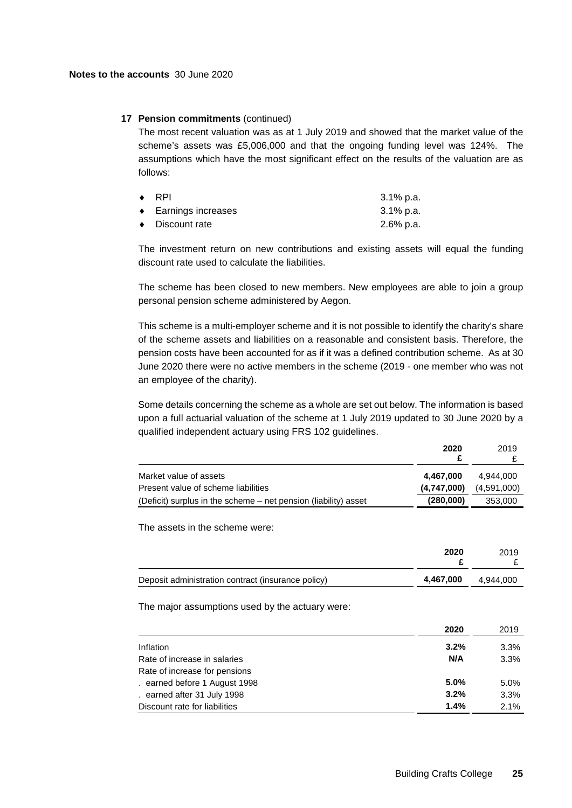## **17 Pension commitments** (continued)

The most recent valuation was as at 1 July 2019 and showed that the market value of the scheme's assets was £5,006,000 and that the ongoing funding level was 124%. The assumptions which have the most significant effect on the results of the valuation are as follows:

| $\bullet$ RPI                | 3.1% p.a. |
|------------------------------|-----------|
| $\bullet$ Earnings increases | 3.1% p.a. |
| $\bullet$ Discount rate      | 2.6% p.a. |

The investment return on new contributions and existing assets will equal the funding discount rate used to calculate the liabilities.

The scheme has been closed to new members. New employees are able to join a group personal pension scheme administered by Aegon.

This scheme is a multi-employer scheme and it is not possible to identify the charity's share of the scheme assets and liabilities on a reasonable and consistent basis. Therefore, the pension costs have been accounted for as if it was a defined contribution scheme. As at 30 June 2020 there were no active members in the scheme (2019 - one member who was not an employee of the charity).

Some details concerning the scheme as a whole are set out below. The information is based upon a full actuarial valuation of the scheme at 1 July 2019 updated to 30 June 2020 by a qualified independent actuary using FRS 102 guidelines.

|                                                                 | 2020        | 2019        |
|-----------------------------------------------------------------|-------------|-------------|
| Market value of assets                                          | 4.467.000   | 4.944.000   |
| Present value of scheme liabilities                             | (4,747,000) | (4,591,000) |
| (Deficit) surplus in the scheme – net pension (liability) asset | (280,000)   | 353,000     |

The assets in the scheme were:

|                                                    | 2020      | 2019      |
|----------------------------------------------------|-----------|-----------|
| Deposit administration contract (insurance policy) | 4,467,000 | 4.944.000 |

The major assumptions used by the actuary were:

|                               | 2020    | 2019 |
|-------------------------------|---------|------|
| Inflation                     | $3.2\%$ | 3.3% |
| Rate of increase in salaries  | N/A     | 3.3% |
| Rate of increase for pensions |         |      |
| earned before 1 August 1998   | 5.0%    | 5.0% |
| earned after 31 July 1998     | 3.2%    | 3.3% |
| Discount rate for liabilities | 1.4%    | 2.1% |